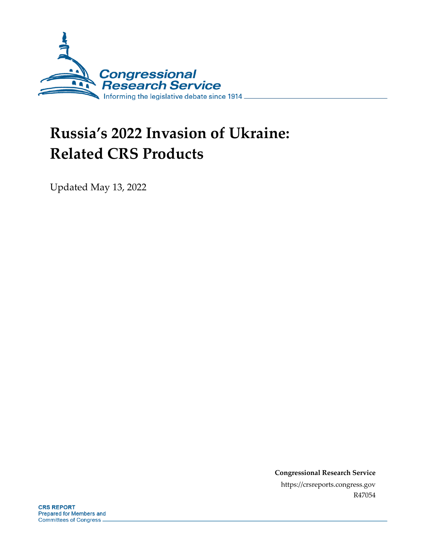

# **Russia's 2022 Invasion of Ukraine: Related CRS Products**

Updated May 13, 2022

**Congressional Research Service** https://crsreports.congress.gov R47054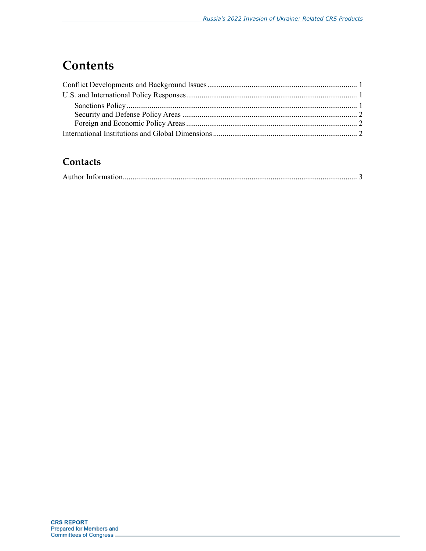# **Contents**

### Contacts

|--|--|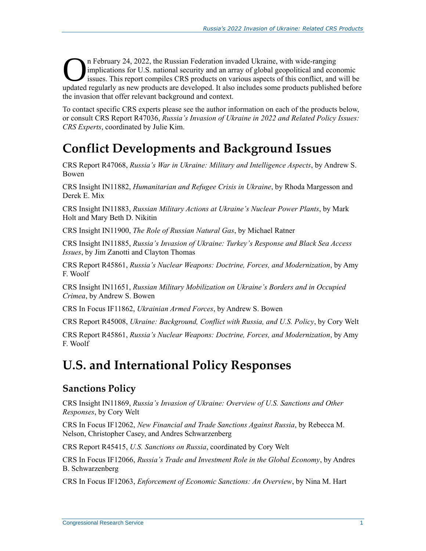n February 24, 2022, the Russian Federation invaded Ukraine, with wide-ranging implications for U.S. national security and an array of global geopolitical and economic issues. This report compiles CRS products on various aspects of this conflict, and will be In February 24, 2022, the Russian Federation invaded Ukraine, with wide-ranging<br>
implications for U.S. national security and an array of global geopolitical and economic<br>
issues. This report compiles CRS products on variou the invasion that offer relevant background and context.

To contact specific CRS experts please see the author information on each of the products below, or consult CRS Report R47036, *Russia's Invasion of Ukraine in 2022 and Related Policy Issues: CRS Experts*, coordinated by Julie Kim.

# <span id="page-2-0"></span>**Conflict Developments and Background Issues**

CRS Report R47068, *Russia's War in Ukraine: Military and Intelligence Aspects*, by Andrew S. Bowen

CRS Insight IN11882, *Humanitarian and Refugee Crisis in Ukraine*, by Rhoda Margesson and Derek E. Mix

CRS Insight IN11883, *Russian Military Actions at Ukraine's Nuclear Power Plants*, by Mark Holt and Mary Beth D. Nikitin

CRS Insight IN11900, *The Role of Russian Natural Gas*, by Michael Ratner

CRS Insight IN11885, *Russia's Invasion of Ukraine: Turkey's Response and Black Sea Access Issues*, by Jim Zanotti and Clayton Thomas

CRS Report R45861, *Russia's Nuclear Weapons: Doctrine, Forces, and Modernization*, by Amy F. Woolf

CRS Insight IN11651, *Russian Military Mobilization on Ukraine's Borders and in Occupied Crimea*, by Andrew S. Bowen

CRS In Focus IF11862, *Ukrainian Armed Forces*, by Andrew S. Bowen

CRS Report R45008, *Ukraine: Background, Conflict with Russia, and U.S. Policy*, by Cory Welt

CRS Report R45861, *Russia's Nuclear Weapons: Doctrine, Forces, and Modernization*, by Amy F. Woolf

# <span id="page-2-1"></span>**U.S. and International Policy Responses**

#### <span id="page-2-2"></span>**Sanctions Policy**

CRS Insight IN11869, *Russia's Invasion of Ukraine: Overview of U.S. Sanctions and Other Responses*, by Cory Welt

CRS In Focus IF12062, *New Financial and Trade Sanctions Against Russia*, by Rebecca M. Nelson, Christopher Casey, and Andres Schwarzenberg

CRS Report R45415, *U.S. Sanctions on Russia*, coordinated by Cory Welt

CRS In Focus IF12066, *Russia's Trade and Investment Role in the Global Economy*, by Andres B. Schwarzenberg

CRS In Focus IF12063, *Enforcement of Economic Sanctions: An Overview*, by Nina M. Hart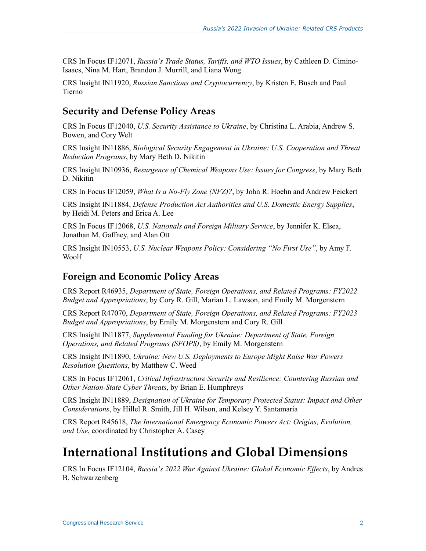CRS In Focus IF12071, *Russia's Trade Status, Tariffs, and WTO Issues*, by Cathleen D. Cimino-Isaacs, Nina M. Hart, Brandon J. Murrill, and Liana Wong

CRS Insight IN11920, *Russian Sanctions and Cryptocurrency*, by Kristen E. Busch and Paul Tierno

### <span id="page-3-0"></span>**Security and Defense Policy Areas**

CRS In Focus IF12040, *U.S. Security Assistance to Ukraine*, by Christina L. Arabia, Andrew S. Bowen, and Cory Welt

CRS Insight IN11886, *Biological Security Engagement in Ukraine: U.S. Cooperation and Threat Reduction Programs*, by Mary Beth D. Nikitin

CRS Insight IN10936, *Resurgence of Chemical Weapons Use: Issues for Congress*, by Mary Beth D. Nikitin

CRS In Focus IF12059, *What Is a No-Fly Zone (NFZ)?*, by John R. Hoehn and Andrew Feickert

CRS Insight IN11884, *Defense Production Act Authorities and U.S. Domestic Energy Supplies*, by Heidi M. Peters and Erica A. Lee

CRS In Focus IF12068, *U.S. Nationals and Foreign Military Service*, by Jennifer K. Elsea, Jonathan M. Gaffney, and Alan Ott

CRS Insight IN10553, *U.S. Nuclear Weapons Policy: Considering "No First Use"*, by Amy F. Woolf

#### <span id="page-3-1"></span>**Foreign and Economic Policy Areas**

CRS Report R46935, *Department of State, Foreign Operations, and Related Programs: FY2022 Budget and Appropriations*, by Cory R. Gill, Marian L. Lawson, and Emily M. Morgenstern

CRS Report R47070, *Department of State, Foreign Operations, and Related Programs: FY2023 Budget and Appropriations*, by Emily M. Morgenstern and Cory R. Gill

CRS Insight IN11877, *Supplemental Funding for Ukraine: Department of State, Foreign Operations, and Related Programs (SFOPS)*, by Emily M. Morgenstern

CRS Insight IN11890, *Ukraine: New U.S. Deployments to Europe Might Raise War Powers Resolution Questions*, by Matthew C. Weed

CRS In Focus IF12061, *Critical Infrastructure Security and Resilience: Countering Russian and Other Nation-State Cyber Threats*, by Brian E. Humphreys

CRS Insight IN11889, *Designation of Ukraine for Temporary Protected Status: Impact and Other Considerations*, by Hillel R. Smith, Jill H. Wilson, and Kelsey Y. Santamaria

CRS Report R45618, *The International Emergency Economic Powers Act: Origins, Evolution, and Use*, coordinated by Christopher A. Casey

### <span id="page-3-2"></span>**International Institutions and Global Dimensions**

CRS In Focus IF12104, *Russia's 2022 War Against Ukraine: Global Economic Effects*, by Andres B. Schwarzenberg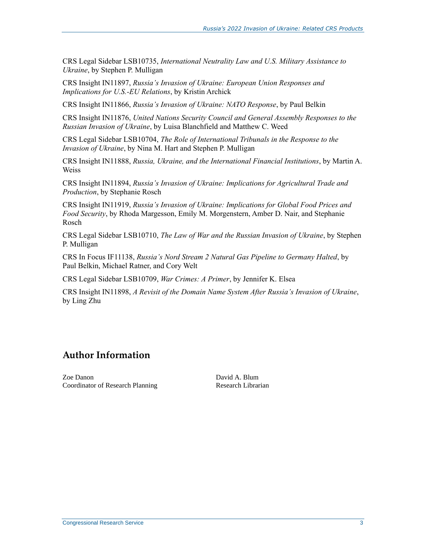<span id="page-4-0"></span>CRS Legal Sidebar LSB10735, *International Neutrality Law and U.S. Military Assistance to Ukraine*, by Stephen P. Mulligan

CRS Insight IN11897, *Russia's Invasion of Ukraine: European Union Responses and Implications for U.S.-EU Relations*, by Kristin Archick

CRS Insight IN11866, *Russia's Invasion of Ukraine: NATO Response*, by Paul Belkin

CRS Insight IN11876, *United Nations Security Council and General Assembly Responses to the Russian Invasion of Ukraine*, by Luisa Blanchfield and Matthew C. Weed

CRS Legal Sidebar LSB10704, *The Role of International Tribunals in the Response to the Invasion of Ukraine*, by Nina M. Hart and Stephen P. Mulligan

CRS Insight IN11888, *Russia, Ukraine, and the International Financial Institutions*, by Martin A. Weiss

CRS Insight IN11894, *Russia's Invasion of Ukraine: Implications for Agricultural Trade and Production*, by Stephanie Rosch

CRS Insight IN11919, *Russia's Invasion of Ukraine: Implications for Global Food Prices and Food Security*, by Rhoda Margesson, Emily M. Morgenstern, Amber D. Nair, and Stephanie Rosch

CRS Legal Sidebar LSB10710, *The Law of War and the Russian Invasion of Ukraine*, by Stephen P. Mulligan

CRS In Focus IF11138, *Russia's Nord Stream 2 Natural Gas Pipeline to Germany Halted*, by Paul Belkin, Michael Ratner, and Cory Welt

CRS Legal Sidebar LSB10709, *War Crimes: A Primer*, by Jennifer K. Elsea

CRS Insight IN11898, *A Revisit of the Domain Name System After Russia's Invasion of Ukraine*, by Ling Zhu

### **Author Information**

Zoe Danon Coordinator of Research Planning David A. Blum Research Librarian